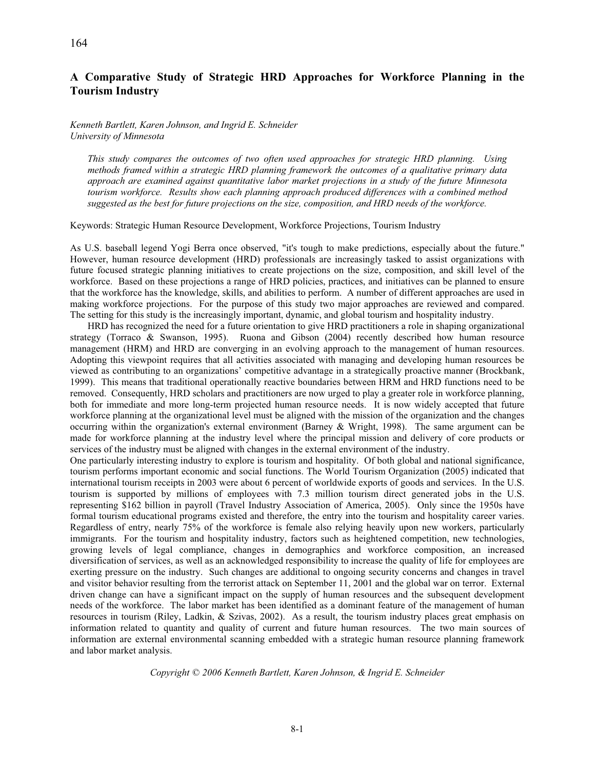# **A Comparative Study of Strategic HRD Approaches for Workforce Planning in the Tourism Industry**

# *Kenneth Bartlett, Karen Johnson, and Ingrid E. Schneider University of Minnesota*

*This study compares the outcomes of two often used approaches for strategic HRD planning. Using methods framed within a strategic HRD planning framework the outcomes of a qualitative primary data approach are examined against quantitative labor market projections in a study of the future Minnesota tourism workforce. Results show each planning approach produced differences with a combined method suggested as the best for future projections on the size, composition, and HRD needs of the workforce.* 

Keywords: Strategic Human Resource Development, Workforce Projections, Tourism Industry

As U.S. baseball legend Yogi Berra once observed, "it's tough to make predictions, especially about the future." However, human resource development (HRD) professionals are increasingly tasked to assist organizations with future focused strategic planning initiatives to create projections on the size, composition, and skill level of the workforce. Based on these projections a range of HRD policies, practices, and initiatives can be planned to ensure that the workforce has the knowledge, skills, and abilities to perform. A number of different approaches are used in making workforce projections. For the purpose of this study two major approaches are reviewed and compared. The setting for this study is the increasingly important, dynamic, and global tourism and hospitality industry.

HRD has recognized the need for a future orientation to give HRD practitioners a role in shaping organizational strategy (Torraco & Swanson, 1995). Ruona and Gibson (2004) recently described how human resource management (HRM) and HRD are converging in an evolving approach to the management of human resources. Adopting this viewpoint requires that all activities associated with managing and developing human resources be viewed as contributing to an organizations' competitive advantage in a strategically proactive manner (Brockbank, 1999). This means that traditional operationally reactive boundaries between HRM and HRD functions need to be removed. Consequently, HRD scholars and practitioners are now urged to play a greater role in workforce planning, both for immediate and more long-term projected human resource needs. It is now widely accepted that future workforce planning at the organizational level must be aligned with the mission of the organization and the changes occurring within the organization's external environment (Barney & Wright, 1998). The same argument can be made for workforce planning at the industry level where the principal mission and delivery of core products or services of the industry must be aligned with changes in the external environment of the industry.

One particularly interesting industry to explore is tourism and hospitality. Of both global and national significance, tourism performs important economic and social functions. The World Tourism Organization (2005) indicated that international tourism receipts in 2003 were about 6 percent of worldwide exports of goods and services. In the U.S. tourism is supported by millions of employees with 7.3 million tourism direct generated jobs in the U.S. representing \$162 billion in payroll (Travel Industry Association of America, 2005). Only since the 1950s have formal tourism educational programs existed and therefore, the entry into the tourism and hospitality career varies. Regardless of entry, nearly 75% of the workforce is female also relying heavily upon new workers, particularly immigrants. For the tourism and hospitality industry, factors such as heightened competition, new technologies, growing levels of legal compliance, changes in demographics and workforce composition, an increased diversification of services, as well as an acknowledged responsibility to increase the quality of life for employees are exerting pressure on the industry. Such changes are additional to ongoing security concerns and changes in travel and visitor behavior resulting from the terrorist attack on September 11, 2001 and the global war on terror. External driven change can have a significant impact on the supply of human resources and the subsequent development needs of the workforce. The labor market has been identified as a dominant feature of the management of human resources in tourism (Riley, Ladkin, & Szivas, 2002). As a result, the tourism industry places great emphasis on information related to quantity and quality of current and future human resources. The two main sources of information are external environmental scanning embedded with a strategic human resource planning framework and labor market analysis.

*Copyright © 2006 Kenneth Bartlett, Karen Johnson, & Ingrid E. Schneider*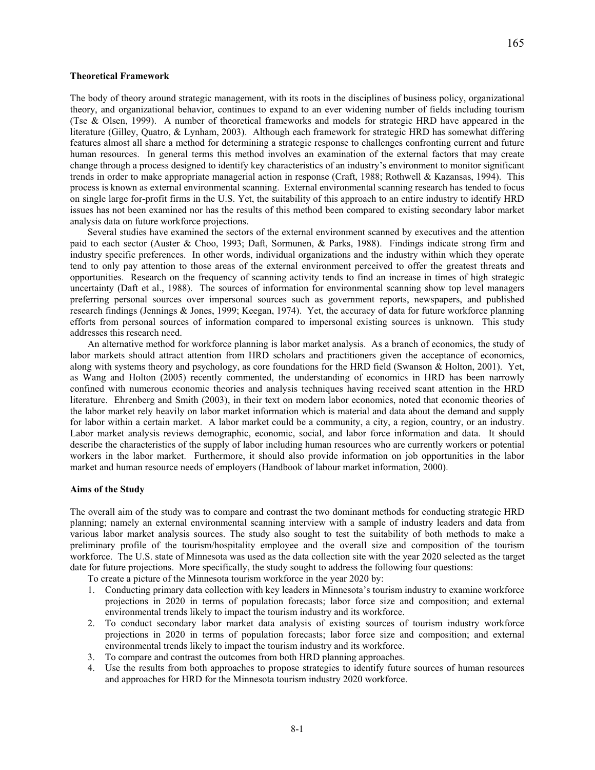### **Theoretical Framework**

The body of theory around strategic management, with its roots in the disciplines of business policy, organizational theory, and organizational behavior, continues to expand to an ever widening number of fields including tourism (Tse & Olsen, 1999). A number of theoretical frameworks and models for strategic HRD have appeared in the literature (Gilley, Quatro, & Lynham, 2003). Although each framework for strategic HRD has somewhat differing features almost all share a method for determining a strategic response to challenges confronting current and future human resources. In general terms this method involves an examination of the external factors that may create change through a process designed to identify key characteristics of an industry's environment to monitor significant trends in order to make appropriate managerial action in response (Craft, 1988; Rothwell & Kazansas, 1994). This process is known as external environmental scanning. External environmental scanning research has tended to focus on single large for-profit firms in the U.S. Yet, the suitability of this approach to an entire industry to identify HRD issues has not been examined nor has the results of this method been compared to existing secondary labor market analysis data on future workforce projections.

Several studies have examined the sectors of the external environment scanned by executives and the attention paid to each sector (Auster & Choo, 1993; Daft, Sormunen, & Parks, 1988). Findings indicate strong firm and industry specific preferences. In other words, individual organizations and the industry within which they operate tend to only pay attention to those areas of the external environment perceived to offer the greatest threats and opportunities. Research on the frequency of scanning activity tends to find an increase in times of high strategic uncertainty (Daft et al., 1988). The sources of information for environmental scanning show top level managers preferring personal sources over impersonal sources such as government reports, newspapers, and published research findings (Jennings & Jones, 1999; Keegan, 1974). Yet, the accuracy of data for future workforce planning efforts from personal sources of information compared to impersonal existing sources is unknown. This study addresses this research need.

An alternative method for workforce planning is labor market analysis. As a branch of economics, the study of labor markets should attract attention from HRD scholars and practitioners given the acceptance of economics, along with systems theory and psychology, as core foundations for the HRD field (Swanson & Holton, 2001). Yet, as Wang and Holton (2005) recently commented, the understanding of economics in HRD has been narrowly confined with numerous economic theories and analysis techniques having received scant attention in the HRD literature. Ehrenberg and Smith (2003), in their text on modern labor economics, noted that economic theories of the labor market rely heavily on labor market information which is material and data about the demand and supply for labor within a certain market. A labor market could be a community, a city, a region, country, or an industry. Labor market analysis reviews demographic, economic, social, and labor force information and data. It should describe the characteristics of the supply of labor including human resources who are currently workers or potential workers in the labor market. Furthermore, it should also provide information on job opportunities in the labor market and human resource needs of employers (Handbook of labour market information, 2000).

#### **Aims of the Study**

The overall aim of the study was to compare and contrast the two dominant methods for conducting strategic HRD planning; namely an external environmental scanning interview with a sample of industry leaders and data from various labor market analysis sources. The study also sought to test the suitability of both methods to make a preliminary profile of the tourism/hospitality employee and the overall size and composition of the tourism workforce. The U.S. state of Minnesota was used as the data collection site with the year 2020 selected as the target date for future projections. More specifically, the study sought to address the following four questions:

To create a picture of the Minnesota tourism workforce in the year 2020 by:

- 1. Conducting primary data collection with key leaders in Minnesota's tourism industry to examine workforce projections in 2020 in terms of population forecasts; labor force size and composition; and external environmental trends likely to impact the tourism industry and its workforce.
- 2. To conduct secondary labor market data analysis of existing sources of tourism industry workforce projections in 2020 in terms of population forecasts; labor force size and composition; and external environmental trends likely to impact the tourism industry and its workforce.
- 3. To compare and contrast the outcomes from both HRD planning approaches.
- 4. Use the results from both approaches to propose strategies to identify future sources of human resources and approaches for HRD for the Minnesota tourism industry 2020 workforce.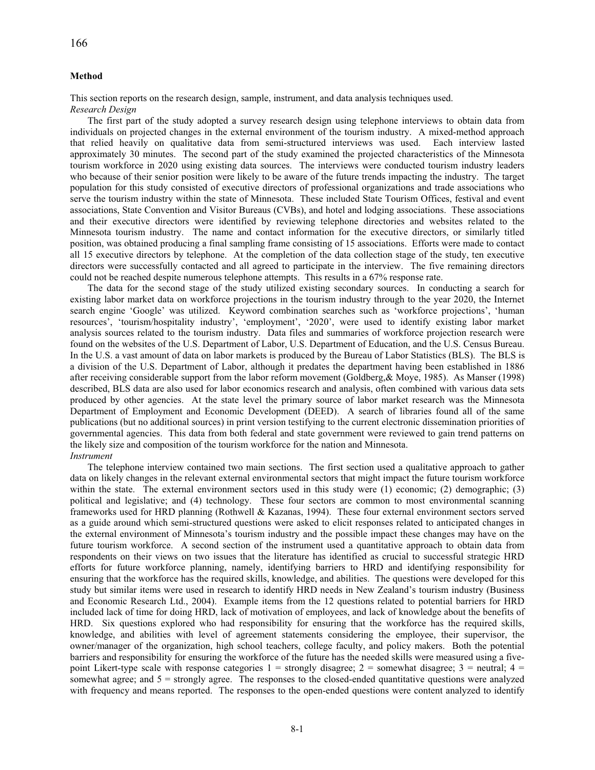# **Method**

This section reports on the research design, sample, instrument, and data analysis techniques used. *Research Design* 

The first part of the study adopted a survey research design using telephone interviews to obtain data from individuals on projected changes in the external environment of the tourism industry. A mixed-method approach that relied heavily on qualitative data from semi-structured interviews was used. Each interview lasted approximately 30 minutes. The second part of the study examined the projected characteristics of the Minnesota tourism workforce in 2020 using existing data sources. The interviews were conducted tourism industry leaders who because of their senior position were likely to be aware of the future trends impacting the industry. The target population for this study consisted of executive directors of professional organizations and trade associations who serve the tourism industry within the state of Minnesota. These included State Tourism Offices, festival and event associations, State Convention and Visitor Bureaus (CVBs), and hotel and lodging associations. These associations and their executive directors were identified by reviewing telephone directories and websites related to the Minnesota tourism industry. The name and contact information for the executive directors, or similarly titled position, was obtained producing a final sampling frame consisting of 15 associations. Efforts were made to contact all 15 executive directors by telephone. At the completion of the data collection stage of the study, ten executive directors were successfully contacted and all agreed to participate in the interview. The five remaining directors could not be reached despite numerous telephone attempts. This results in a 67% response rate.

The data for the second stage of the study utilized existing secondary sources. In conducting a search for existing labor market data on workforce projections in the tourism industry through to the year 2020, the Internet search engine 'Google' was utilized. Keyword combination searches such as 'workforce projections', 'human resources', 'tourism/hospitality industry', 'employment', '2020', were used to identify existing labor market analysis sources related to the tourism industry. Data files and summaries of workforce projection research were found on the websites of the U.S. Department of Labor, U.S. Department of Education, and the U.S. Census Bureau. In the U.S. a vast amount of data on labor markets is produced by the Bureau of Labor Statistics (BLS). The BLS is a division of the U.S. Department of Labor, although it predates the department having been established in 1886 after receiving considerable support from the labor reform movement (Goldberg,& Moye, 1985). As Manser (1998) described, BLS data are also used for labor economics research and analysis, often combined with various data sets produced by other agencies. At the state level the primary source of labor market research was the Minnesota Department of Employment and Economic Development (DEED). A search of libraries found all of the same publications (but no additional sources) in print version testifying to the current electronic dissemination priorities of governmental agencies. This data from both federal and state government were reviewed to gain trend patterns on the likely size and composition of the tourism workforce for the nation and Minnesota. *Instrument*

The telephone interview contained two main sections. The first section used a qualitative approach to gather data on likely changes in the relevant external environmental sectors that might impact the future tourism workforce within the state. The external environment sectors used in this study were (1) economic; (2) demographic; (3) political and legislative; and (4) technology. These four sectors are common to most environmental scanning frameworks used for HRD planning (Rothwell & Kazanas, 1994). These four external environment sectors served as a guide around which semi-structured questions were asked to elicit responses related to anticipated changes in the external environment of Minnesota's tourism industry and the possible impact these changes may have on the future tourism workforce. A second section of the instrument used a quantitative approach to obtain data from respondents on their views on two issues that the literature has identified as crucial to successful strategic HRD efforts for future workforce planning, namely, identifying barriers to HRD and identifying responsibility for ensuring that the workforce has the required skills, knowledge, and abilities. The questions were developed for this study but similar items were used in research to identify HRD needs in New Zealand's tourism industry (Business and Economic Research Ltd., 2004). Example items from the 12 questions related to potential barriers for HRD included lack of time for doing HRD, lack of motivation of employees, and lack of knowledge about the benefits of HRD. Six questions explored who had responsibility for ensuring that the workforce has the required skills, knowledge, and abilities with level of agreement statements considering the employee, their supervisor, the owner/manager of the organization, high school teachers, college faculty, and policy makers. Both the potential barriers and responsibility for ensuring the workforce of the future has the needed skills were measured using a fivepoint Likert-type scale with response categories  $1 =$  strongly disagree;  $2 =$  somewhat disagree;  $3 =$  neutral;  $4 =$ somewhat agree; and 5 = strongly agree. The responses to the closed-ended quantitative questions were analyzed with frequency and means reported. The responses to the open-ended questions were content analyzed to identify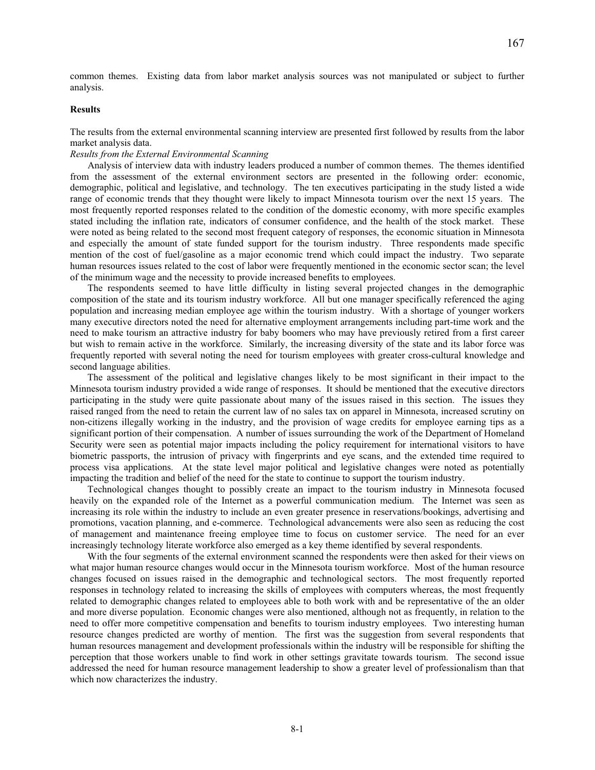167

common themes. Existing data from labor market analysis sources was not manipulated or subject to further analysis.

#### **Results**

The results from the external environmental scanning interview are presented first followed by results from the labor market analysis data.

# *Results from the External Environmental Scanning*

Analysis of interview data with industry leaders produced a number of common themes. The themes identified from the assessment of the external environment sectors are presented in the following order: economic, demographic, political and legislative, and technology. The ten executives participating in the study listed a wide range of economic trends that they thought were likely to impact Minnesota tourism over the next 15 years. The most frequently reported responses related to the condition of the domestic economy, with more specific examples stated including the inflation rate, indicators of consumer confidence, and the health of the stock market. These were noted as being related to the second most frequent category of responses, the economic situation in Minnesota and especially the amount of state funded support for the tourism industry. Three respondents made specific mention of the cost of fuel/gasoline as a major economic trend which could impact the industry. Two separate human resources issues related to the cost of labor were frequently mentioned in the economic sector scan; the level of the minimum wage and the necessity to provide increased benefits to employees.

The respondents seemed to have little difficulty in listing several projected changes in the demographic composition of the state and its tourism industry workforce. All but one manager specifically referenced the aging population and increasing median employee age within the tourism industry. With a shortage of younger workers many executive directors noted the need for alternative employment arrangements including part-time work and the need to make tourism an attractive industry for baby boomers who may have previously retired from a first career but wish to remain active in the workforce. Similarly, the increasing diversity of the state and its labor force was frequently reported with several noting the need for tourism employees with greater cross-cultural knowledge and second language abilities.

The assessment of the political and legislative changes likely to be most significant in their impact to the Minnesota tourism industry provided a wide range of responses. It should be mentioned that the executive directors participating in the study were quite passionate about many of the issues raised in this section. The issues they raised ranged from the need to retain the current law of no sales tax on apparel in Minnesota, increased scrutiny on non-citizens illegally working in the industry, and the provision of wage credits for employee earning tips as a significant portion of their compensation. A number of issues surrounding the work of the Department of Homeland Security were seen as potential major impacts including the policy requirement for international visitors to have biometric passports, the intrusion of privacy with fingerprints and eye scans, and the extended time required to process visa applications. At the state level major political and legislative changes were noted as potentially impacting the tradition and belief of the need for the state to continue to support the tourism industry.

Technological changes thought to possibly create an impact to the tourism industry in Minnesota focused heavily on the expanded role of the Internet as a powerful communication medium. The Internet was seen as increasing its role within the industry to include an even greater presence in reservations/bookings, advertising and promotions, vacation planning, and e-commerce. Technological advancements were also seen as reducing the cost of management and maintenance freeing employee time to focus on customer service. The need for an ever increasingly technology literate workforce also emerged as a key theme identified by several respondents.

With the four segments of the external environment scanned the respondents were then asked for their views on what major human resource changes would occur in the Minnesota tourism workforce. Most of the human resource changes focused on issues raised in the demographic and technological sectors. The most frequently reported responses in technology related to increasing the skills of employees with computers whereas, the most frequently related to demographic changes related to employees able to both work with and be representative of the an older and more diverse population. Economic changes were also mentioned, although not as frequently, in relation to the need to offer more competitive compensation and benefits to tourism industry employees. Two interesting human resource changes predicted are worthy of mention. The first was the suggestion from several respondents that human resources management and development professionals within the industry will be responsible for shifting the perception that those workers unable to find work in other settings gravitate towards tourism. The second issue addressed the need for human resource management leadership to show a greater level of professionalism than that which now characterizes the industry.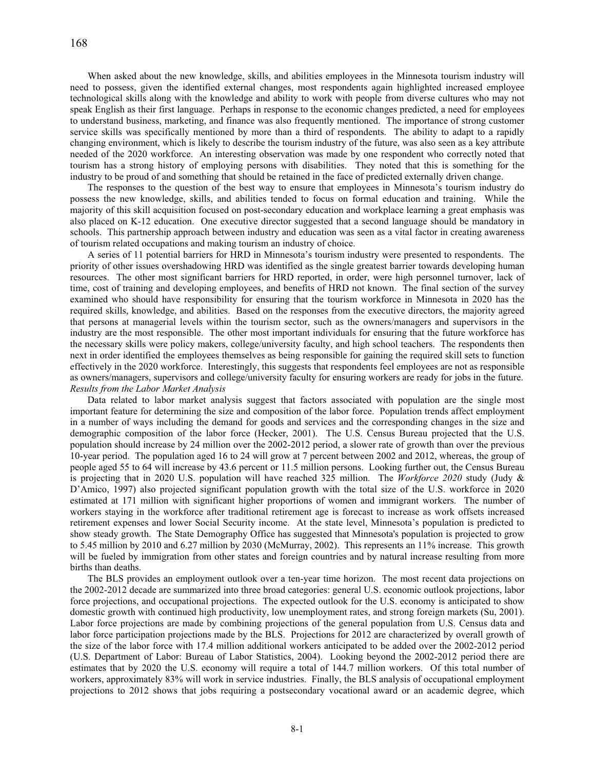When asked about the new knowledge, skills, and abilities employees in the Minnesota tourism industry will need to possess, given the identified external changes, most respondents again highlighted increased employee technological skills along with the knowledge and ability to work with people from diverse cultures who may not speak English as their first language. Perhaps in response to the economic changes predicted, a need for employees to understand business, marketing, and finance was also frequently mentioned. The importance of strong customer service skills was specifically mentioned by more than a third of respondents. The ability to adapt to a rapidly changing environment, which is likely to describe the tourism industry of the future, was also seen as a key attribute needed of the 2020 workforce. An interesting observation was made by one respondent who correctly noted that tourism has a strong history of employing persons with disabilities. They noted that this is something for the industry to be proud of and something that should be retained in the face of predicted externally driven change.

The responses to the question of the best way to ensure that employees in Minnesota's tourism industry do possess the new knowledge, skills, and abilities tended to focus on formal education and training. While the majority of this skill acquisition focused on post-secondary education and workplace learning a great emphasis was also placed on K-12 education. One executive director suggested that a second language should be mandatory in schools. This partnership approach between industry and education was seen as a vital factor in creating awareness of tourism related occupations and making tourism an industry of choice.

A series of 11 potential barriers for HRD in Minnesota's tourism industry were presented to respondents. The priority of other issues overshadowing HRD was identified as the single greatest barrier towards developing human resources. The other most significant barriers for HRD reported, in order, were high personnel turnover, lack of time, cost of training and developing employees, and benefits of HRD not known. The final section of the survey examined who should have responsibility for ensuring that the tourism workforce in Minnesota in 2020 has the required skills, knowledge, and abilities. Based on the responses from the executive directors, the majority agreed that persons at managerial levels within the tourism sector, such as the owners/managers and supervisors in the industry are the most responsible. The other most important individuals for ensuring that the future workforce has the necessary skills were policy makers, college/university faculty, and high school teachers. The respondents then next in order identified the employees themselves as being responsible for gaining the required skill sets to function effectively in the 2020 workforce. Interestingly, this suggests that respondents feel employees are not as responsible as owners/managers, supervisors and college/university faculty for ensuring workers are ready for jobs in the future. *Results from the Labor Market Analysis* 

Data related to labor market analysis suggest that factors associated with population are the single most important feature for determining the size and composition of the labor force. Population trends affect employment in a number of ways including the demand for goods and services and the corresponding changes in the size and demographic composition of the labor force (Hecker, 2001). The U.S. Census Bureau projected that the U.S. population should increase by 24 million over the 2002-2012 period, a slower rate of growth than over the previous 10-year period. The population aged 16 to 24 will grow at 7 percent between 2002 and 2012, whereas, the group of people aged 55 to 64 will increase by 43.6 percent or 11.5 million persons. Looking further out, the Census Bureau is projecting that in 2020 U.S. population will have reached 325 million. The *Workforce 2020* study (Judy & D'Amico, 1997) also projected significant population growth with the total size of the U.S. workforce in 2020 estimated at 171 million with significant higher proportions of women and immigrant workers. The number of workers staying in the workforce after traditional retirement age is forecast to increase as work offsets increased retirement expenses and lower Social Security income. At the state level, Minnesota's population is predicted to show steady growth. The State Demography Office has suggested that Minnesota's population is projected to grow to 5.45 million by 2010 and 6.27 million by 2030 (McMurray, 2002). This represents an 11% increase. This growth will be fueled by immigration from other states and foreign countries and by natural increase resulting from more births than deaths.

The BLS provides an employment outlook over a ten-year time horizon. The most recent data projections on the 2002-2012 decade are summarized into three broad categories: general U.S. economic outlook projections, labor force projections, and occupational projections. The expected outlook for the U.S. economy is anticipated to show domestic growth with continued high productivity, low unemployment rates, and strong foreign markets (Su, 2001). Labor force projections are made by combining projections of the general population from U.S. Census data and labor force participation projections made by the BLS. Projections for 2012 are characterized by overall growth of the size of the labor force with 17.4 million additional workers anticipated to be added over the 2002-2012 period (U.S. Department of Labor: Bureau of Labor Statistics, 2004). Looking beyond the 2002-2012 period there are estimates that by 2020 the U.S. economy will require a total of 144.7 million workers. Of this total number of workers, approximately 83% will work in service industries. Finally, the BLS analysis of occupational employment projections to 2012 shows that jobs requiring a postsecondary vocational award or an academic degree, which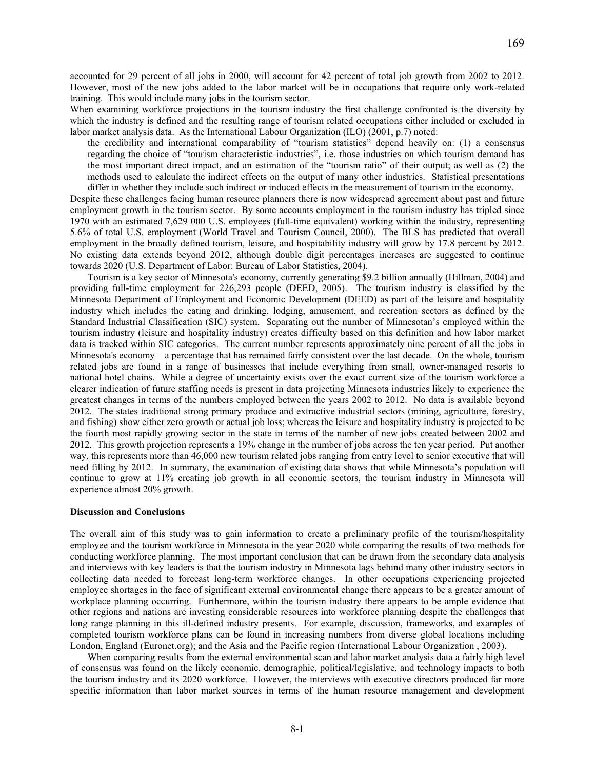accounted for 29 percent of all jobs in 2000, will account for 42 percent of total job growth from 2002 to 2012. However, most of the new jobs added to the labor market will be in occupations that require only work-related training. This would include many jobs in the tourism sector.

When examining workforce projections in the tourism industry the first challenge confronted is the diversity by which the industry is defined and the resulting range of tourism related occupations either included or excluded in labor market analysis data. As the International Labour Organization (ILO) (2001, p.7) noted:

the credibility and international comparability of "tourism statistics" depend heavily on: (1) a consensus regarding the choice of "tourism characteristic industries", i.e. those industries on which tourism demand has the most important direct impact, and an estimation of the "tourism ratio" of their output; as well as (2) the methods used to calculate the indirect effects on the output of many other industries. Statistical presentations differ in whether they include such indirect or induced effects in the measurement of tourism in the economy.

Despite these challenges facing human resource planners there is now widespread agreement about past and future employment growth in the tourism sector. By some accounts employment in the tourism industry has tripled since 1970 with an estimated 7,629 000 U.S. employees (full-time equivalent) working within the industry, representing 5.6% of total U.S. employment (World Travel and Tourism Council, 2000). The BLS has predicted that overall employment in the broadly defined tourism, leisure, and hospitability industry will grow by 17.8 percent by 2012. No existing data extends beyond 2012, although double digit percentages increases are suggested to continue towards 2020 (U.S. Department of Labor: Bureau of Labor Statistics, 2004).

Tourism is a key sector of Minnesota's economy, currently generating \$9.2 billion annually (Hillman, 2004) and providing full-time employment for 226,293 people (DEED, 2005). The tourism industry is classified by the Minnesota Department of Employment and Economic Development (DEED) as part of the leisure and hospitality industry which includes the eating and drinking, lodging, amusement, and recreation sectors as defined by the Standard Industrial Classification (SIC) system. Separating out the number of Minnesotan's employed within the tourism industry (leisure and hospitality industry) creates difficulty based on this definition and how labor market data is tracked within SIC categories. The current number represents approximately nine percent of all the jobs in Minnesota's economy – a percentage that has remained fairly consistent over the last decade. On the whole, tourism related jobs are found in a range of businesses that include everything from small, owner-managed resorts to national hotel chains. While a degree of uncertainty exists over the exact current size of the tourism workforce a clearer indication of future staffing needs is present in data projecting Minnesota industries likely to experience the greatest changes in terms of the numbers employed between the years 2002 to 2012. No data is available beyond 2012. The states traditional strong primary produce and extractive industrial sectors (mining, agriculture, forestry, and fishing) show either zero growth or actual job loss; whereas the leisure and hospitality industry is projected to be the fourth most rapidly growing sector in the state in terms of the number of new jobs created between 2002 and 2012. This growth projection represents a 19% change in the number of jobs across the ten year period. Put another way, this represents more than 46,000 new tourism related jobs ranging from entry level to senior executive that will need filling by 2012. In summary, the examination of existing data shows that while Minnesota's population will continue to grow at 11% creating job growth in all economic sectors, the tourism industry in Minnesota will experience almost 20% growth.

## **Discussion and Conclusions**

The overall aim of this study was to gain information to create a preliminary profile of the tourism/hospitality employee and the tourism workforce in Minnesota in the year 2020 while comparing the results of two methods for conducting workforce planning. The most important conclusion that can be drawn from the secondary data analysis and interviews with key leaders is that the tourism industry in Minnesota lags behind many other industry sectors in collecting data needed to forecast long-term workforce changes. In other occupations experiencing projected employee shortages in the face of significant external environmental change there appears to be a greater amount of workplace planning occurring. Furthermore, within the tourism industry there appears to be ample evidence that other regions and nations are investing considerable resources into workforce planning despite the challenges that long range planning in this ill-defined industry presents. For example, discussion, frameworks, and examples of completed tourism workforce plans can be found in increasing numbers from diverse global locations including London, England (Euronet.org); and the Asia and the Pacific region (International Labour Organization , 2003).

When comparing results from the external environmental scan and labor market analysis data a fairly high level of consensus was found on the likely economic, demographic, political/legislative, and technology impacts to both the tourism industry and its 2020 workforce. However, the interviews with executive directors produced far more specific information than labor market sources in terms of the human resource management and development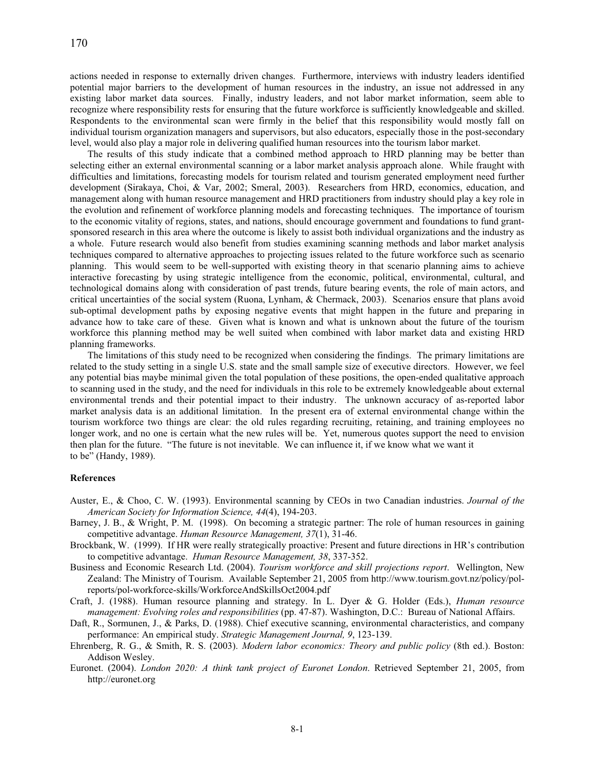actions needed in response to externally driven changes. Furthermore, interviews with industry leaders identified potential major barriers to the development of human resources in the industry, an issue not addressed in any existing labor market data sources. Finally, industry leaders, and not labor market information, seem able to recognize where responsibility rests for ensuring that the future workforce is sufficiently knowledgeable and skilled. Respondents to the environmental scan were firmly in the belief that this responsibility would mostly fall on individual tourism organization managers and supervisors, but also educators, especially those in the post-secondary level, would also play a major role in delivering qualified human resources into the tourism labor market.

The results of this study indicate that a combined method approach to HRD planning may be better than selecting either an external environmental scanning or a labor market analysis approach alone. While fraught with difficulties and limitations, forecasting models for tourism related and tourism generated employment need further development (Sirakaya, Choi, & Var, 2002; Smeral, 2003). Researchers from HRD, economics, education, and management along with human resource management and HRD practitioners from industry should play a key role in the evolution and refinement of workforce planning models and forecasting techniques. The importance of tourism to the economic vitality of regions, states, and nations, should encourage government and foundations to fund grantsponsored research in this area where the outcome is likely to assist both individual organizations and the industry as a whole. Future research would also benefit from studies examining scanning methods and labor market analysis techniques compared to alternative approaches to projecting issues related to the future workforce such as scenario planning. This would seem to be well-supported with existing theory in that scenario planning aims to achieve interactive forecasting by using strategic intelligence from the economic, political, environmental, cultural, and technological domains along with consideration of past trends, future bearing events, the role of main actors, and critical uncertainties of the social system (Ruona, Lynham, & Chermack, 2003). Scenarios ensure that plans avoid sub-optimal development paths by exposing negative events that might happen in the future and preparing in advance how to take care of these. Given what is known and what is unknown about the future of the tourism workforce this planning method may be well suited when combined with labor market data and existing HRD planning frameworks.

The limitations of this study need to be recognized when considering the findings. The primary limitations are related to the study setting in a single U.S. state and the small sample size of executive directors. However, we feel any potential bias maybe minimal given the total population of these positions, the open-ended qualitative approach to scanning used in the study, and the need for individuals in this role to be extremely knowledgeable about external environmental trends and their potential impact to their industry. The unknown accuracy of as-reported labor market analysis data is an additional limitation. In the present era of external environmental change within the tourism workforce two things are clear: the old rules regarding recruiting, retaining, and training employees no longer work, and no one is certain what the new rules will be. Yet, numerous quotes support the need to envision then plan for the future. "The future is not inevitable. We can influence it, if we know what we want it to be" (Handy, 1989).

## **References**

- Auster, E., & Choo, C. W. (1993). Environmental scanning by CEOs in two Canadian industries. *Journal of the American Society for Information Science, 44*(4), 194-203.
- Barney, J. B., & Wright, P. M. (1998). On becoming a strategic partner: The role of human resources in gaining competitive advantage. *Human Resource Management, 37*(1), 31-46.
- Brockbank, W. (1999). If HR were really strategically proactive: Present and future directions in HR's contribution to competitive advantage. *Human Resource Management, 38*, 337-352.
- Business and Economic Research Ltd. (2004). *Tourism workforce and skill projections report*. Wellington, New Zealand: The Ministry of Tourism. Available September 21, 2005 from http://www.tourism.govt.nz/policy/polreports/pol-workforce-skills/WorkforceAndSkillsOct2004.pdf
- Craft, J. (1988). Human resource planning and strategy. In L. Dyer & G. Holder (Eds.), *Human resource management: Evolving roles and responsibilities* (pp. 47-87). Washington, D.C.: Bureau of National Affairs.
- Daft, R., Sormunen, J., & Parks, D. (1988). Chief executive scanning, environmental characteristics, and company performance: An empirical study. *Strategic Management Journal, 9*, 123-139.
- Ehrenberg, R. G., & Smith, R. S. (2003). *Modern labor economics: Theory and public policy* (8th ed.). Boston: Addison Wesley.
- Euronet. (2004). *London 2020: A think tank project of Euronet London*. Retrieved September 21, 2005, from http://euronet.org